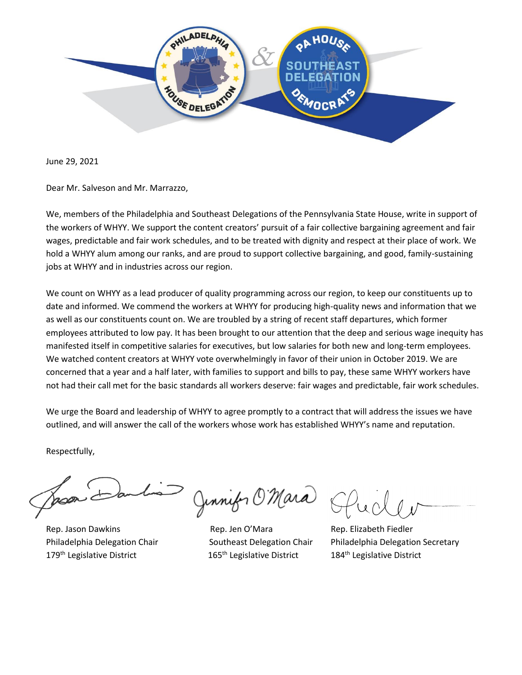

June 29, 2021

Dear Mr. Salveson and Mr. Marrazzo,

We, members of the Philadelphia and Southeast Delegations of the Pennsylvania State House, write in support of the workers of WHYY. We support the content creators' pursuit of a fair collective bargaining agreement and fair wages, predictable and fair work schedules, and to be treated with dignity and respect at their place of work. We hold a WHYY alum among our ranks, and are proud to support collective bargaining, and good, family-sustaining jobs at WHYY and in industries across our region.

We count on WHYY as a lead producer of quality programming across our region, to keep our constituents up to date and informed. We commend the workers at WHYY for producing high-quality news and information that we as well as our constituents count on. We are troubled by a string of recent staff departures, which former employees attributed to low pay. It has been brought to our attention that the deep and serious wage inequity has manifested itself in competitive salaries for executives, but low salaries for both new and long-term employees. We watched content creators at WHYY vote overwhelmingly in favor of their union in October 2019. We are concerned that a year and a half later, with families to support and bills to pay, these same WHYY workers have not had their call met for the basic standards all workers deserve: fair wages and predictable, fair work schedules.

We urge the Board and leadership of WHYY to agree promptly to a contract that will address the issues we have outlined, and will answer the call of the workers whose work has established WHYY's name and reputation.

Respectfully,

179<sup>th</sup> Legislative District 165<sup>th</sup> Legislative District 184<sup>th</sup> Legislative District

Jinnifer O'Mara SI

Rep. Jason Dawkins **Rep. Jen O'Mara** Rep. Hen Bep. Elizabeth Fiedler

Philadelphia Delegation Chair Southeast Delegation Chair Philadelphia Delegation Secretary